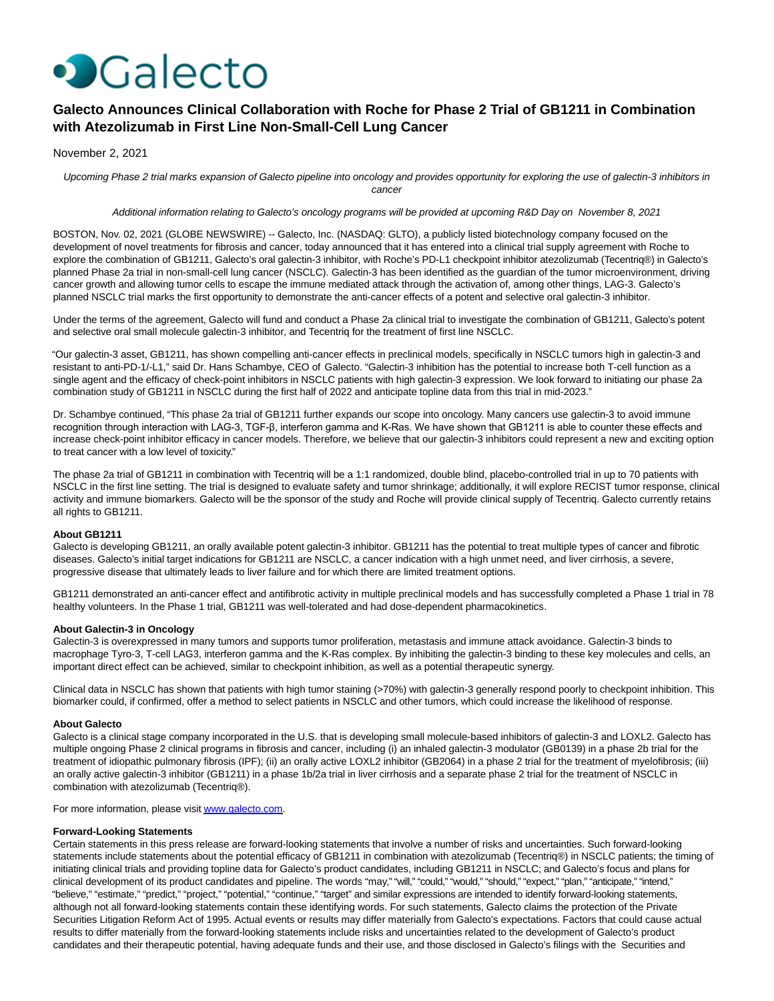

# **Galecto Announces Clinical Collaboration with Roche for Phase 2 Trial of GB1211 in Combination with Atezolizumab in First Line Non-Small-Cell Lung Cancer**

November 2, 2021

Upcoming Phase 2 trial marks expansion of Galecto pipeline into oncology and provides opportunity for exploring the use of galectin-3 inhibitors in cancer

Additional information relating to Galecto's oncology programs will be provided at upcoming R&D Day on November 8, 2021

BOSTON, Nov. 02, 2021 (GLOBE NEWSWIRE) -- Galecto, Inc. (NASDAQ: GLTO), a publicly listed biotechnology company focused on the development of novel treatments for fibrosis and cancer, today announced that it has entered into a clinical trial supply agreement with Roche to explore the combination of GB1211, Galecto's oral galectin-3 inhibitor, with Roche's PD-L1 checkpoint inhibitor atezolizumab (Tecentriq®) in Galecto's planned Phase 2a trial in non-small-cell lung cancer (NSCLC). Galectin-3 has been identified as the guardian of the tumor microenvironment, driving cancer growth and allowing tumor cells to escape the immune mediated attack through the activation of, among other things, LAG-3. Galecto's planned NSCLC trial marks the first opportunity to demonstrate the anti-cancer effects of a potent and selective oral galectin-3 inhibitor.

Under the terms of the agreement, Galecto will fund and conduct a Phase 2a clinical trial to investigate the combination of GB1211, Galecto's potent and selective oral small molecule galectin-3 inhibitor, and Tecentriq for the treatment of first line NSCLC.

"Our galectin-3 asset, GB1211, has shown compelling anti-cancer effects in preclinical models, specifically in NSCLC tumors high in galectin-3 and resistant to anti-PD-1/-L1," said Dr. Hans Schambye, CEO of Galecto. "Galectin-3 inhibition has the potential to increase both T-cell function as a single agent and the efficacy of check-point inhibitors in NSCLC patients with high galectin-3 expression. We look forward to initiating our phase 2a combination study of GB1211 in NSCLC during the first half of 2022 and anticipate topline data from this trial in mid-2023."

Dr. Schambye continued, "This phase 2a trial of GB1211 further expands our scope into oncology. Many cancers use galectin-3 to avoid immune recognition through interaction with LAG-3, TGF-β, interferon gamma and K-Ras. We have shown that GB1211 is able to counter these effects and increase check-point inhibitor efficacy in cancer models. Therefore, we believe that our galectin-3 inhibitors could represent a new and exciting option to treat cancer with a low level of toxicity."

The phase 2a trial of GB1211 in combination with Tecentriq will be a 1:1 randomized, double blind, placebo-controlled trial in up to 70 patients with NSCLC in the first line setting. The trial is designed to evaluate safety and tumor shrinkage; additionally, it will explore RECIST tumor response, clinical activity and immune biomarkers. Galecto will be the sponsor of the study and Roche will provide clinical supply of Tecentriq. Galecto currently retains all rights to GB1211.

## **About GB1211**

Galecto is developing GB1211, an orally available potent galectin-3 inhibitor. GB1211 has the potential to treat multiple types of cancer and fibrotic diseases. Galecto's initial target indications for GB1211 are NSCLC, a cancer indication with a high unmet need, and liver cirrhosis, a severe, progressive disease that ultimately leads to liver failure and for which there are limited treatment options.

GB1211 demonstrated an anti-cancer effect and antifibrotic activity in multiple preclinical models and has successfully completed a Phase 1 trial in 78 healthy volunteers. In the Phase 1 trial, GB1211 was well-tolerated and had dose-dependent pharmacokinetics.

## **About Galectin-3 in Oncology**

Galectin-3 is overexpressed in many tumors and supports tumor proliferation, metastasis and immune attack avoidance. Galectin-3 binds to macrophage Tyro-3, T-cell LAG3, interferon gamma and the K-Ras complex. By inhibiting the galectin-3 binding to these key molecules and cells, an important direct effect can be achieved, similar to checkpoint inhibition, as well as a potential therapeutic synergy.

Clinical data in NSCLC has shown that patients with high tumor staining (>70%) with galectin-3 generally respond poorly to checkpoint inhibition. This biomarker could, if confirmed, offer a method to select patients in NSCLC and other tumors, which could increase the likelihood of response.

## **About Galecto**

Galecto is a clinical stage company incorporated in the U.S. that is developing small molecule-based inhibitors of galectin-3 and LOXL2. Galecto has multiple ongoing Phase 2 clinical programs in fibrosis and cancer, including (i) an inhaled galectin-3 modulator (GB0139) in a phase 2b trial for the treatment of idiopathic pulmonary fibrosis (IPF); (ii) an orally active LOXL2 inhibitor (GB2064) in a phase 2 trial for the treatment of myelofibrosis; (iii) an orally active galectin-3 inhibitor (GB1211) in a phase 1b/2a trial in liver cirrhosis and a separate phase 2 trial for the treatment of NSCLC in combination with atezolizumab (Tecentriq®).

For more information, please visi[t www.galecto.com.](https://www.globenewswire.com/Tracker?data=RUTUm4kL4Mk5lkg09AZ-CzJxTUlzCN0Z3lMbc3O2c9G8fJ5XiSUH7_bq9mJA07huibERt8H8D0WkcvoRV48n2Q==)

## **Forward-Looking Statements**

Certain statements in this press release are forward-looking statements that involve a number of risks and uncertainties. Such forward-looking statements include statements about the potential efficacy of GB1211 in combination with atezolizumab (Tecentriq®) in NSCLC patients; the timing of initiating clinical trials and providing topline data for Galecto's product candidates, including GB1211 in NSCLC; and Galecto's focus and plans for clinical development of its product candidates and pipeline. The words "may," "will," "could," "would," "should," "expect," "plan," "anticipate," "intend," "believe," "estimate," "predict," "project," "potential," "continue," "target" and similar expressions are intended to identify forward-looking statements, although not all forward-looking statements contain these identifying words. For such statements, Galecto claims the protection of the Private Securities Litigation Reform Act of 1995. Actual events or results may differ materially from Galecto's expectations. Factors that could cause actual results to differ materially from the forward-looking statements include risks and uncertainties related to the development of Galecto's product candidates and their therapeutic potential, having adequate funds and their use, and those disclosed in Galecto's filings with the Securities and